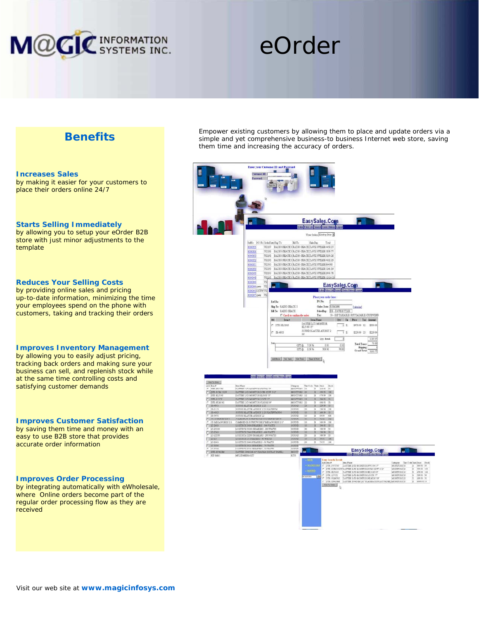

# eOrder

## **Benefits**

ŀ

F

### **Increases Sales** by making it easier for your customers to place their orders online 24/7

### **Starts Selling Immediately**

by allowing you to setup your eOrder B2B store with just minor adjustments to the template

### **Reduces Your Selling Costs**

by providing online sales and pricing up-to-date information, minimizing the time your employees spend on the phone with customers, taking and tracking their orders

### **Improves Inventory Management**

by allowing you to easily adjust pricing, tracking back orders and making sure your business can sell, and replenish stock while at the same time controlling costs and satisfying customer demands

### **Improves Customer Satisfaction**

by saving them time and money with an easy to use B2B store that provides accurate order information

#### **Improves Order Processing**

by integrating automatically with eWholesale, where Online orders become part of the regular order processing flow as they are received

Empower existing customers by allowing them to place and update orders via a simple and yet comprehensive business-to business Internet web store, saving them time and increasing the accuracy of orders.

|                                   | Enter your Customer ID and Password<br>Customer ID:<br>Parmeed                                                                                                                                                                                                                                                                                                                                                                                                                                                                                                                                                                                                                                                                                                                            |
|-----------------------------------|-------------------------------------------------------------------------------------------------------------------------------------------------------------------------------------------------------------------------------------------------------------------------------------------------------------------------------------------------------------------------------------------------------------------------------------------------------------------------------------------------------------------------------------------------------------------------------------------------------------------------------------------------------------------------------------------------------------------------------------------------------------------------------------------|
|                                   | ľ,                                                                                                                                                                                                                                                                                                                                                                                                                                                                                                                                                                                                                                                                                                                                                                                        |
|                                   | EasySales.Com<br><b>A</b>                                                                                                                                                                                                                                                                                                                                                                                                                                                                                                                                                                                                                                                                                                                                                                 |
|                                   | View Order: Existing Order                                                                                                                                                                                                                                                                                                                                                                                                                                                                                                                                                                                                                                                                                                                                                                |
|                                   | Befile PO No OrderDute Sup To<br>Bil To<br>SalesRep<br>Total<br>752287 BACDO SHACK 1BACDO SHACK DAVE BUTLER 4458 27<br>0000055<br>0000056<br>73228 BADIO SHACK 1BADIO SHACK DAVE BUTLER 1839.77<br>732290 RADIO SHACK 1RADIO SHACK DAVE BUTLER 3254 28<br>0000053<br>732299<br>RADIO SHACK 1 RADIO SHACK DAVE BUTLER 4022 25<br>0000052<br>RADIO SHACK 1RADIO SHACK DAVE BUTLER 304 98<br>0000051<br>732330<br>732299 BADIO SHACK 1BADIO SHACK DAVE BUTLER 1241 SA<br>0000050<br>0000049<br>75299 BADIO SHACK 1BADIO SHACK DAVE BUTLER 2995.76<br>RADIO SHACK 1RADIO SHACK DAVE BUTLER 12120 28<br>0000048<br>732295                                                                                                                                                                      |
|                                   | 732<br>0000046<br>EasySales.Com<br><b>Participate</b><br>000004 goer<br>73<br>٠<br>Order Ester List Select Codes Hatery Listed<br>00000032YOOW732                                                                                                                                                                                                                                                                                                                                                                                                                                                                                                                                                                                                                                         |
|                                   | 0000047 cm 732<br>Place your order here:                                                                                                                                                                                                                                                                                                                                                                                                                                                                                                                                                                                                                                                                                                                                                  |
|                                   | PO No:<br>Ref No:<br>- 1<br>She Ta: RADEO SHACK 1<br>Order Dute: 12062005<br>[calmalac]                                                                                                                                                                                                                                                                                                                                                                                                                                                                                                                                                                                                                                                                                                   |
|                                   | Bill Tw BADIO SHACK<br>SalesBay: EB - DAVE BITTLER<br>10 - GST TAXABLE / PST TAXABLE CUST/VEND<br>Tax:                                                                                                                                                                                                                                                                                                                                                                                                                                                                                                                                                                                                                                                                                    |
|                                   | C Check to confirm the order<br>On Un Price Tax Amount<br>$D\cos\theta$<br>Item Name<br>Del                                                                                                                                                                                                                                                                                                                                                                                                                                                                                                                                                                                                                                                                                               |
|                                   | DAYTEK LCD MONTICE<br>71<br>F: DTK-30,5105<br>\$69.99 12 \$959.95<br>HL5105 15*                                                                                                                                                                                                                                                                                                                                                                                                                                                                                                                                                                                                                                                                                                           |
|                                   | SOURID BLASTER AUDROY 2<br>īз<br>$F = 38 - 4915$<br>1229.99 23 1229.99<br>2S                                                                                                                                                                                                                                                                                                                                                                                                                                                                                                                                                                                                                                                                                                              |
|                                   | Qty. Total<br>1189.97<br>з<br>Is                                                                                                                                                                                                                                                                                                                                                                                                                                                                                                                                                                                                                                                                                                                                                          |
|                                   | 75, 83<br>Total Taxes:<br>eco<br>$GTT$ @<br>7.00%<br>0.00<br>Shower<br>E00 N<br>959.96<br>76.90<br><b>IST @</b>                                                                                                                                                                                                                                                                                                                                                                                                                                                                                                                                                                                                                                                                           |
|                                   | Grand Total 126677                                                                                                                                                                                                                                                                                                                                                                                                                                                                                                                                                                                                                                                                                                                                                                        |
|                                   | Atlifes De fam Out Tab Sao & Pirt                                                                                                                                                                                                                                                                                                                                                                                                                                                                                                                                                                                                                                                                                                                                                         |
|                                   |                                                                                                                                                                                                                                                                                                                                                                                                                                                                                                                                                                                                                                                                                                                                                                                           |
|                                   | pain annual centa continues then                                                                                                                                                                                                                                                                                                                                                                                                                                                                                                                                                                                                                                                                                                                                                          |
| Act Ti Oth                        |                                                                                                                                                                                                                                                                                                                                                                                                                                                                                                                                                                                                                                                                                                                                                                                           |
|                                   | bes Nans<br>Cargory Tax Code than France<br>MONSTEDES 10 E SEN<br><b>Buck</b><br>$55995 - 53$<br>DAYTER LOD MONDICA STATIS UP                                                                                                                                                                                                                                                                                                                                                                                                                                                                                                                                                                                                                                                             |
| F DIK-DOM-152W                    | DAYTEK LCD MONTOR DOM-152W 15 2<br>MONTORS 20<br>499.95 100<br>$\mathbb E$<br>10                                                                                                                                                                                                                                                                                                                                                                                                                                                                                                                                                                                                                                                                                                          |
| DTK-L17CX<br>DIX-NUMBER           | <b>DAYTEK LCD MONITOR LYMIC 17*</b><br>MONTFORS 13<br>599.95 50<br>$\overline{\mathbf{K}}$<br>DAYTEK LCD MONTOR NUMBER<br>MONTROBE<br>699.95<br>$\overline{8}$<br>$\overline{\infty}$<br>x                                                                                                                                                                                                                                                                                                                                                                                                                                                                                                                                                                                                |
| $F = 59-4915$                     | SOUND BLASTER AUDIEF 22S<br>SOUND<br>229.99 50<br>23<br>E<br>SOUND BLASTER AUDIO 7 22S FLATERIN                                                                                                                                                                                                                                                                                                                                                                                                                                                                                                                                                                                                                                                                                           |
| 38-5115<br>$-23-4925$             | SOUND<br>299.99 100<br>20<br>x<br>SOUND BLASTER, AUDIOT 2 23 FLATERIM FRO<br>sousp<br>$249.99 - 50$<br>10 <sub>1</sub>                                                                                                                                                                                                                                                                                                                                                                                                                                                                                                                                                                                                                                                                    |
| 28-5475<br><b>CASOMAWORES</b>     | somm<br>69.99<br>400<br>10<br>v<br><b>SOUND</b><br>79.99 500<br>30<br>E                                                                                                                                                                                                                                                                                                                                                                                                                                                                                                                                                                                                                                                                                                                   |
| CE MEGAWORKS 211<br>$T = 17.2610$ | CAMBRIDGE SCUND WORKS TABOA WORKS 211"<br>COUNT<br>349.99<br>100<br>10<br>LOGITISCH ZARO SPEAKERS - 500 WATTS<br><b>SOUND</b><br>10 <sub>10</sub><br>399.95 50<br>$\overline{\mathbf{h}}$                                                                                                                                                                                                                                                                                                                                                                                                                                                                                                                                                                                                 |
| 17,25333                          | LOGITICE 25300 SEEARERS - 280 WATTS<br><b>ROTTNT</b><br>m<br>100.00<br>$-80$<br>v                                                                                                                                                                                                                                                                                                                                                                                                                                                                                                                                                                                                                                                                                                         |
| $17-256$<br>LT-22237              | LOGITSCH 2560 SPEAKERS - 400 WATTS<br><b>SOUND</b><br>199.99 50<br>10<br>E<br>LOGITICH ZZ200 SFEAKERS - 200 WATE<br>149.99 50<br>SOUND<br>20                                                                                                                                                                                                                                                                                                                                                                                                                                                                                                                                                                                                                                              |
| $F = 17-23$<br>LT-264)            | LOGITICH Z3 SPAAKERS - 40 WATES<br>SOUND<br>99.95 100<br>10<br>LOGITBON 2640 SPEAKERS - 70 WATTS<br>somm<br>$\overline{20}$<br>79.95<br>$-100$<br>$\mathbf{x}$                                                                                                                                                                                                                                                                                                                                                                                                                                                                                                                                                                                                                            |
| $F = 17-35620$                    | ${\tt LOGITBCH\,X620\,SEAAKB35-70\,WATTS}$<br><b>SOUND</b>                                                                                                                                                                                                                                                                                                                                                                                                                                                                                                                                                                                                                                                                                                                                |
| 1.1-3220<br>F DTK-DP42GM          | <b>MIXOO SEAKERS - 33 WATE</b><br>COUNT<br>EasySales.Com<br>н<br>ı.<br>DAYTEK DINGGM (42' FLASMA DISPLAY PANEL)<br>MONTH                                                                                                                                                                                                                                                                                                                                                                                                                                                                                                                                                                                                                                                                  |
| KIT-MM)                           | <b>COMP PARK LIP SHOULD COMPANY</b><br>MULTI-MEDIA KIT<br>RITS:                                                                                                                                                                                                                                                                                                                                                                                                                                                                                                                                                                                                                                                                                                                           |
|                                   | <b>KEES</b><br>A &t Dees P<br><b>Dent St</b><br>Campay Ia<br>MONTONS 10<br>DIR. NVTESO<br>DAYIEK LOD MONDON NV125017<br><b>A MONTHURE</b><br>569.95 50<br><b>Del Del</b><br>$\begin{tabular}{ll} $C$ & DCR: 3797799 & DANTRE LCD AGBERER BYUS9157 \\ $D$ & DCR: 5026-152W DATTER LCD AGBITCR DCRE 152W 1527 \\ $C$ & DCR: 313318 & DANTER LCD AGBITCR BE3108 157 \\ \end{tabular}$<br>459.95 100<br>MONTORS 20<br>$\epsilon$ going<br>479.59 100<br>MONTORS 12<br>x<br>F DIK-LIVOX – DAYIKE LOD MORIDURALOS († 1918. – MORIDOROS)<br>F JORCULINING – DAYIKE LOD MORIDUR BENATZ († 1918. – MORIDOROS)<br>F DIK-LIVOR – DAYIKE DROGN († 1914. BALDAR DISPLAY RADIK) MORIDOROS)<br>ÿ<br>5955 50<br><b>CASSIC</b><br>[0s]<br>×<br>099 95 35<br>4999.9518<br>×<br>n Diacher  <br>  Alt Te Dela |
|                                   |                                                                                                                                                                                                                                                                                                                                                                                                                                                                                                                                                                                                                                                                                                                                                                                           |